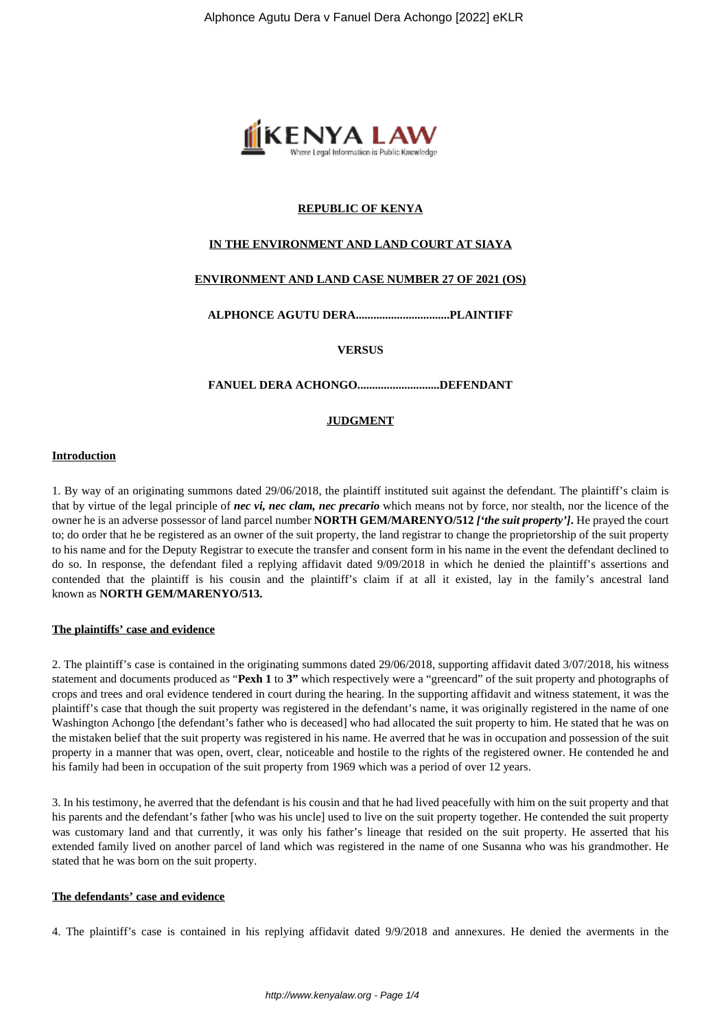

# **REPUBLIC OF KENYA**

## **IN THE ENVIRONMENT AND LAND COURT AT SIAYA**

# **ENVIRONMENT AND LAND CASE NUMBER 27 OF 2021 (OS)**

**ALPHONCE AGUTU DERA................................PLAINTIFF**

**VERSUS**

### **FANUEL DERA ACHONGO............................DEFENDANT**

### **JUDGMENT**

### **Introduction**

1. By way of an originating summons dated 29/06/2018, the plaintiff instituted suit against the defendant. The plaintiff's claim is that by virtue of the legal principle of *nec vi, nec clam, nec precario* which means not by force, nor stealth, nor the licence of the owner he is an adverse possessor of land parcel number **NORTH GEM/MARENYO/512** *['the suit property']***.** He prayed the court to; do order that he be registered as an owner of the suit property, the land registrar to change the proprietorship of the suit property to his name and for the Deputy Registrar to execute the transfer and consent form in his name in the event the defendant declined to do so. In response, the defendant filed a replying affidavit dated 9/09/2018 in which he denied the plaintiff's assertions and contended that the plaintiff is his cousin and the plaintiff's claim if at all it existed, lay in the family's ancestral land known as **NORTH GEM/MARENYO/513.**

#### **The plaintiffs' case and evidence**

2. The plaintiff's case is contained in the originating summons dated 29/06/2018, supporting affidavit dated 3/07/2018, his witness statement and documents produced as "**Pexh 1** to **3"** which respectively were a "greencard" of the suit property and photographs of crops and trees and oral evidence tendered in court during the hearing. In the supporting affidavit and witness statement, it was the plaintiff's case that though the suit property was registered in the defendant's name, it was originally registered in the name of one Washington Achongo [the defendant's father who is deceased] who had allocated the suit property to him. He stated that he was on the mistaken belief that the suit property was registered in his name. He averred that he was in occupation and possession of the suit property in a manner that was open, overt, clear, noticeable and hostile to the rights of the registered owner. He contended he and his family had been in occupation of the suit property from 1969 which was a period of over 12 years.

3. In his testimony, he averred that the defendant is his cousin and that he had lived peacefully with him on the suit property and that his parents and the defendant's father [who was his uncle] used to live on the suit property together. He contended the suit property was customary land and that currently, it was only his father's lineage that resided on the suit property. He asserted that his extended family lived on another parcel of land which was registered in the name of one Susanna who was his grandmother. He stated that he was born on the suit property.

#### **The defendants' case and evidence**

4. The plaintiff's case is contained in his replying affidavit dated 9/9/2018 and annexures. He denied the averments in the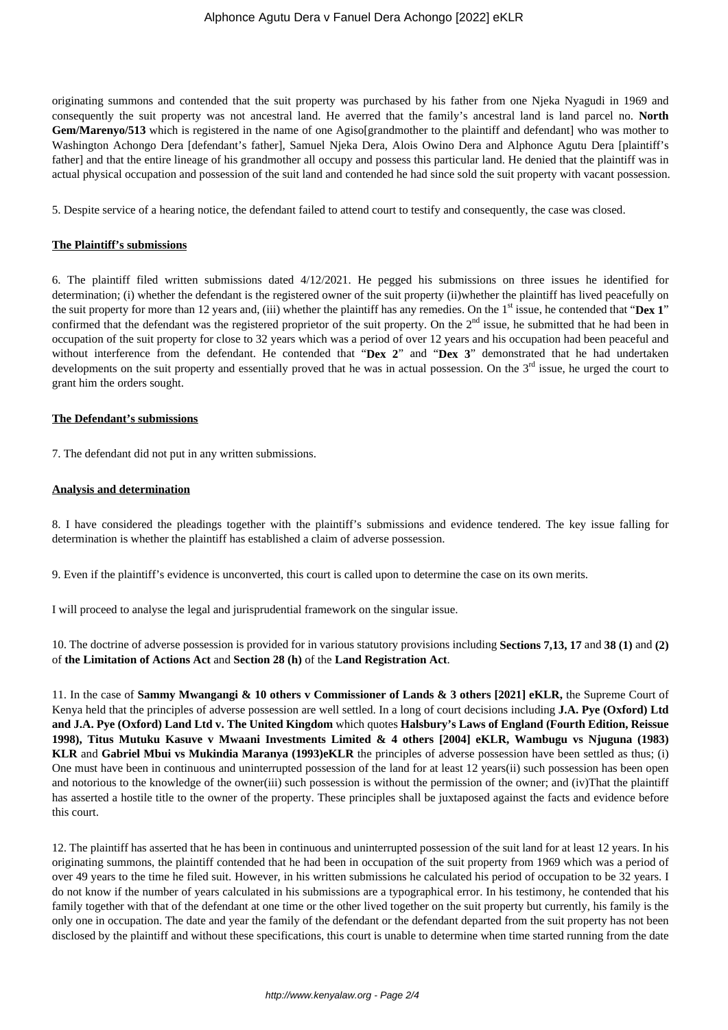originating summons and contended that the suit property was purchased by his father from one Njeka Nyagudi in 1969 and consequently the suit property was not ancestral land. He averred that the family's ancestral land is land parcel no. **North Gem/Marenyo/513** which is registered in the name of one Agisolgrandmother to the plaintiff and defendant] who was mother to Washington Achongo Dera [defendant's father], Samuel Njeka Dera, Alois Owino Dera and Alphonce Agutu Dera [plaintiff's father] and that the entire lineage of his grandmother all occupy and possess this particular land. He denied that the plaintiff was in actual physical occupation and possession of the suit land and contended he had since sold the suit property with vacant possession.

5. Despite service of a hearing notice, the defendant failed to attend court to testify and consequently, the case was closed.

#### **The Plaintiff's submissions**

6. The plaintiff filed written submissions dated 4/12/2021. He pegged his submissions on three issues he identified for determination; (i) whether the defendant is the registered owner of the suit property (ii)whether the plaintiff has lived peacefully on the suit property for more than 12 years and, (iii) whether the plaintiff has any remedies. On the 1<sup>st</sup> issue, he contended that "Dex 1" confirmed that the defendant was the registered proprietor of the suit property. On the  $2<sup>nd</sup>$  issue, he submitted that he had been in occupation of the suit property for close to 32 years which was a period of over 12 years and his occupation had been peaceful and without interference from the defendant. He contended that "**Dex 2**" and "**Dex 3**" demonstrated that he had undertaken developments on the suit property and essentially proved that he was in actual possession. On the  $3<sup>rd</sup>$  issue, he urged the court to grant him the orders sought.

#### **The Defendant's submissions**

7. The defendant did not put in any written submissions.

### **Analysis and determination**

8. I have considered the pleadings together with the plaintiff's submissions and evidence tendered. The key issue falling for determination is whether the plaintiff has established a claim of adverse possession.

9. Even if the plaintiff's evidence is unconverted, this court is called upon to determine the case on its own merits.

I will proceed to analyse the legal and jurisprudential framework on the singular issue.

10. The doctrine of adverse possession is provided for in various statutory provisions including **Sections 7,13, 17** and **38 (1)** and **(2)** of **the Limitation of Actions Act** and **Section 28 (h)** of the **Land Registration Act**.

11. In the case of **Sammy Mwangangi & 10 others v Commissioner of Lands & 3 others [2021] eKLR,** the Supreme Court of Kenya held that the principles of adverse possession are well settled. In a long of court decisions including **J.A. Pye (Oxford) Ltd and J.A. Pye (Oxford) Land Ltd v. The United Kingdom** which quotes **Halsbury's Laws of England (Fourth Edition, Reissue 1998), Titus Mutuku Kasuve v Mwaani Investments Limited & 4 others [2004] eKLR, Wambugu vs Njuguna (1983) KLR** and **Gabriel Mbui vs Mukindia Maranya (1993)eKLR** the principles of adverse possession have been settled as thus; (i) One must have been in continuous and uninterrupted possession of the land for at least 12 years(ii) such possession has been open and notorious to the knowledge of the owner(iii) such possession is without the permission of the owner; and (iv)That the plaintiff has asserted a hostile title to the owner of the property. These principles shall be juxtaposed against the facts and evidence before this court.

12. The plaintiff has asserted that he has been in continuous and uninterrupted possession of the suit land for at least 12 years. In his originating summons, the plaintiff contended that he had been in occupation of the suit property from 1969 which was a period of over 49 years to the time he filed suit. However, in his written submissions he calculated his period of occupation to be 32 years. I do not know if the number of years calculated in his submissions are a typographical error. In his testimony, he contended that his family together with that of the defendant at one time or the other lived together on the suit property but currently, his family is the only one in occupation. The date and year the family of the defendant or the defendant departed from the suit property has not been disclosed by the plaintiff and without these specifications, this court is unable to determine when time started running from the date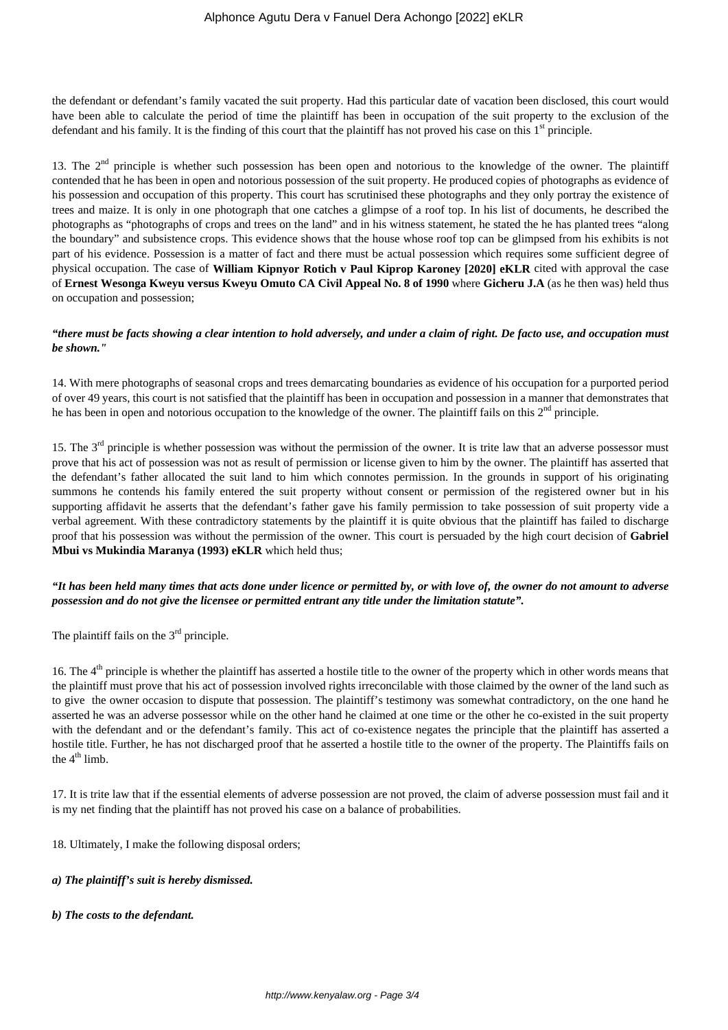the defendant or defendant's family vacated the suit property. Had this particular date of vacation been disclosed, this court would have been able to calculate the period of time the plaintiff has been in occupation of the suit property to the exclusion of the defendant and his family. It is the finding of this court that the plaintiff has not proved his case on this  $1<sup>st</sup>$  principle.

13. The  $2<sup>nd</sup>$  principle is whether such possession has been open and notorious to the knowledge of the owner. The plaintiff contended that he has been in open and notorious possession of the suit property. He produced copies of photographs as evidence of his possession and occupation of this property. This court has scrutinised these photographs and they only portray the existence of trees and maize. It is only in one photograph that one catches a glimpse of a roof top. In his list of documents, he described the photographs as "photographs of crops and trees on the land" and in his witness statement, he stated the he has planted trees "along the boundary" and subsistence crops. This evidence shows that the house whose roof top can be glimpsed from his exhibits is not part of his evidence. Possession is a matter of fact and there must be actual possession which requires some sufficient degree of physical occupation. The case of **William Kipnyor Rotich v Paul Kiprop Karoney [2020] eKLR** cited with approval the case of **Ernest Wesonga Kweyu versus Kweyu Omuto CA Civil Appeal No. 8 of 1990** where **Gicheru J.A** (as he then was) held thus on occupation and possession;

## *"there must be facts showing a clear intention to hold adversely, and under a claim of right. De facto use, and occupation must be shown."*

14. With mere photographs of seasonal crops and trees demarcating boundaries as evidence of his occupation for a purported period of over 49 years, this court is not satisfied that the plaintiff has been in occupation and possession in a manner that demonstrates that he has been in open and notorious occupation to the knowledge of the owner. The plaintiff fails on this  $2<sup>nd</sup>$  principle.

15. The  $3<sup>rd</sup>$  principle is whether possession was without the permission of the owner. It is trite law that an adverse possessor must prove that his act of possession was not as result of permission or license given to him by the owner. The plaintiff has asserted that the defendant's father allocated the suit land to him which connotes permission. In the grounds in support of his originating summons he contends his family entered the suit property without consent or permission of the registered owner but in his supporting affidavit he asserts that the defendant's father gave his family permission to take possession of suit property vide a verbal agreement. With these contradictory statements by the plaintiff it is quite obvious that the plaintiff has failed to discharge proof that his possession was without the permission of the owner. This court is persuaded by the high court decision of **Gabriel Mbui vs Mukindia Maranya (1993) eKLR** which held thus;

# *"It has been held many times that acts done under licence or permitted by, or with love of, the owner do not amount to adverse possession and do not give the licensee or permitted entrant any title under the limitation statute".*

The plaintiff fails on the  $3<sup>rd</sup>$  principle.

16. The  $4<sup>th</sup>$  principle is whether the plaintiff has asserted a hostile title to the owner of the property which in other words means that the plaintiff must prove that his act of possession involved rights irreconcilable with those claimed by the owner of the land such as to give the owner occasion to dispute that possession. The plaintiff's testimony was somewhat contradictory, on the one hand he asserted he was an adverse possessor while on the other hand he claimed at one time or the other he co-existed in the suit property with the defendant and or the defendant's family. This act of co-existence negates the principle that the plaintiff has asserted a hostile title. Further, he has not discharged proof that he asserted a hostile title to the owner of the property. The Plaintiffs fails on the  $4<sup>th</sup>$  limb.

17. It is trite law that if the essential elements of adverse possession are not proved, the claim of adverse possession must fail and it is my net finding that the plaintiff has not proved his case on a balance of probabilities.

18. Ultimately, I make the following disposal orders;

## *a) The plaintiff's suit is hereby dismissed.*

*b) The costs to the defendant.*